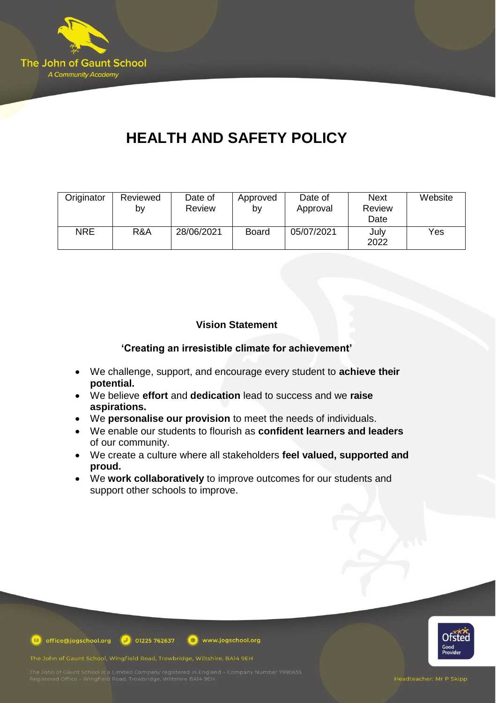

# **HEALTH AND SAFETY POLICY**

| Originator | Reviewed<br>b٧ | Date of<br>Review | Approved<br>b٧ | Date of<br>Approval | <b>Next</b><br>Review<br>Date | Website |
|------------|----------------|-------------------|----------------|---------------------|-------------------------------|---------|
| <b>NRE</b> | R&A            | 28/06/2021        | <b>Board</b>   | 05/07/2021          | July<br>2022                  | Yes     |

# **Vision Statement**

**'Creating an irresistible climate for achievement'**

- We challenge, support, and encourage every student to **achieve their potential.**
- We believe **effort** and **dedication** lead to success and we **raise aspirations.**
- We **personalise our provision** to meet the needs of individuals.
- We enable our students to flourish as **confident learners and leaders** of our community.
- We create a culture where all stakeholders **feel valued, supported and proud.**
- We **work collaboratively** to improve outcomes for our students and support other schools to improve.



**D** office@jogschool.org  $\boxed{\theta}$  01225 762637 www.jogschool.org

The John of Gaunt School, Wingfield Road, Trowbridge, Wiltshire, BA14 9EH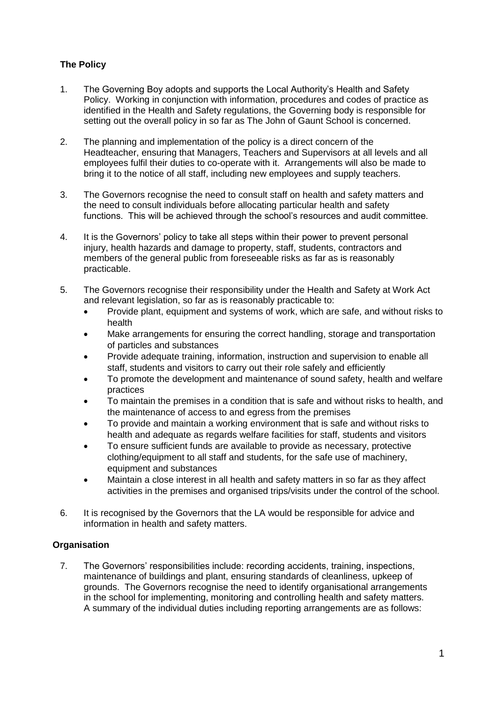# **The Policy**

- 1. The Governing Boy adopts and supports the Local Authority's Health and Safety Policy. Working in conjunction with information, procedures and codes of practice as identified in the Health and Safety regulations, the Governing body is responsible for setting out the overall policy in so far as The John of Gaunt School is concerned.
- 2. The planning and implementation of the policy is a direct concern of the Headteacher, ensuring that Managers, Teachers and Supervisors at all levels and all employees fulfil their duties to co-operate with it. Arrangements will also be made to bring it to the notice of all staff, including new employees and supply teachers.
- 3. The Governors recognise the need to consult staff on health and safety matters and the need to consult individuals before allocating particular health and safety functions. This will be achieved through the school's resources and audit committee.
- 4. It is the Governors' policy to take all steps within their power to prevent personal injury, health hazards and damage to property, staff, students, contractors and members of the general public from foreseeable risks as far as is reasonably practicable.
- 5. The Governors recognise their responsibility under the Health and Safety at Work Act and relevant legislation, so far as is reasonably practicable to:
	- Provide plant, equipment and systems of work, which are safe, and without risks to health
	- Make arrangements for ensuring the correct handling, storage and transportation of particles and substances
	- Provide adequate training, information, instruction and supervision to enable all staff, students and visitors to carry out their role safely and efficiently
	- To promote the development and maintenance of sound safety, health and welfare practices
	- To maintain the premises in a condition that is safe and without risks to health, and the maintenance of access to and egress from the premises
	- To provide and maintain a working environment that is safe and without risks to health and adequate as regards welfare facilities for staff, students and visitors
	- To ensure sufficient funds are available to provide as necessary, protective clothing/equipment to all staff and students, for the safe use of machinery, equipment and substances
	- Maintain a close interest in all health and safety matters in so far as they affect activities in the premises and organised trips/visits under the control of the school.
- 6. It is recognised by the Governors that the LA would be responsible for advice and information in health and safety matters.

# **Organisation**

7. The Governors' responsibilities include: recording accidents, training, inspections, maintenance of buildings and plant, ensuring standards of cleanliness, upkeep of grounds. The Governors recognise the need to identify organisational arrangements in the school for implementing, monitoring and controlling health and safety matters. A summary of the individual duties including reporting arrangements are as follows: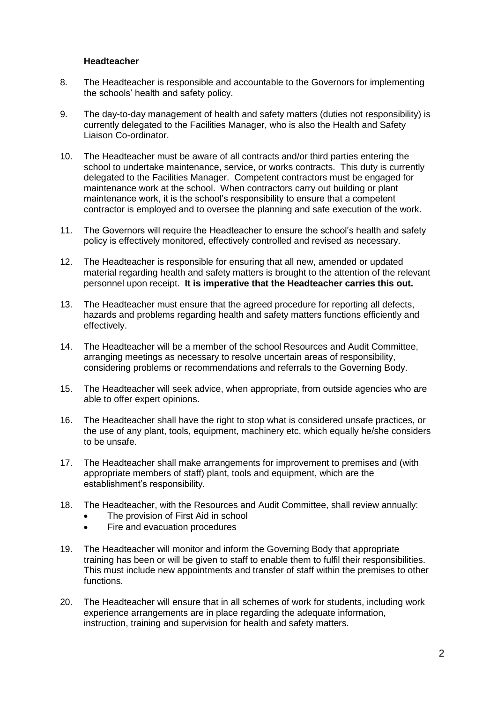#### **Headteacher**

- 8. The Headteacher is responsible and accountable to the Governors for implementing the schools' health and safety policy.
- 9. The day-to-day management of health and safety matters (duties not responsibility) is currently delegated to the Facilities Manager, who is also the Health and Safety Liaison Co-ordinator.
- 10. The Headteacher must be aware of all contracts and/or third parties entering the school to undertake maintenance, service, or works contracts. This duty is currently delegated to the Facilities Manager. Competent contractors must be engaged for maintenance work at the school. When contractors carry out building or plant maintenance work, it is the school's responsibility to ensure that a competent contractor is employed and to oversee the planning and safe execution of the work.
- 11. The Governors will require the Headteacher to ensure the school's health and safety policy is effectively monitored, effectively controlled and revised as necessary.
- 12. The Headteacher is responsible for ensuring that all new, amended or updated material regarding health and safety matters is brought to the attention of the relevant personnel upon receipt. **It is imperative that the Headteacher carries this out.**
- 13. The Headteacher must ensure that the agreed procedure for reporting all defects, hazards and problems regarding health and safety matters functions efficiently and effectively.
- 14. The Headteacher will be a member of the school Resources and Audit Committee, arranging meetings as necessary to resolve uncertain areas of responsibility, considering problems or recommendations and referrals to the Governing Body.
- 15. The Headteacher will seek advice, when appropriate, from outside agencies who are able to offer expert opinions.
- 16. The Headteacher shall have the right to stop what is considered unsafe practices, or the use of any plant, tools, equipment, machinery etc, which equally he/she considers to be unsafe.
- 17. The Headteacher shall make arrangements for improvement to premises and (with appropriate members of staff) plant, tools and equipment, which are the establishment's responsibility.
- 18. The Headteacher, with the Resources and Audit Committee, shall review annually:
	- The provision of First Aid in school
	- Fire and evacuation procedures
- 19. The Headteacher will monitor and inform the Governing Body that appropriate training has been or will be given to staff to enable them to fulfil their responsibilities. This must include new appointments and transfer of staff within the premises to other functions.
- 20. The Headteacher will ensure that in all schemes of work for students, including work experience arrangements are in place regarding the adequate information, instruction, training and supervision for health and safety matters.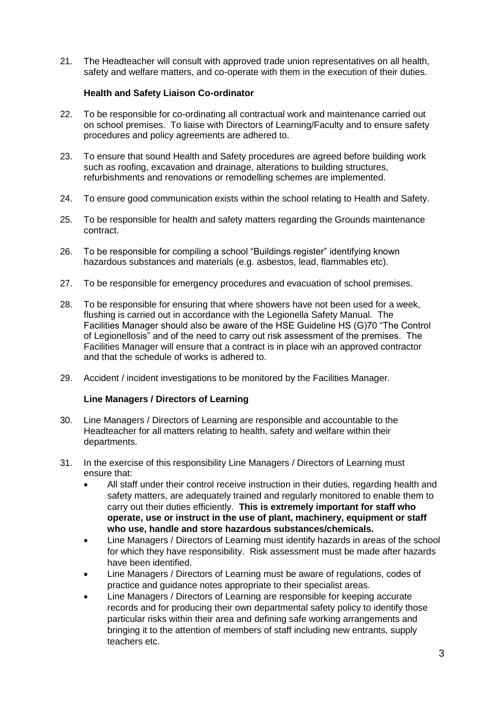21. The Headteacher will consult with approved trade union representatives on all health, safety and welfare matters, and co-operate with them in the execution of their duties.

# **Health and Safety Liaison Co-ordinator**

- 22. To be responsible for co-ordinating all contractual work and maintenance carried out on school premises. To liaise with Directors of Learning/Faculty and to ensure safety procedures and policy agreements are adhered to.
- 23. To ensure that sound Health and Safety procedures are agreed before building work such as roofing, excavation and drainage, alterations to building structures, refurbishments and renovations or remodelling schemes are implemented.
- 24. To ensure good communication exists within the school relating to Health and Safety.
- 25. To be responsible for health and safety matters regarding the Grounds maintenance contract.
- 26. To be responsible for compiling a school "Buildings register" identifying known hazardous substances and materials (e.g. asbestos, lead, flammables etc).
- 27. To be responsible for emergency procedures and evacuation of school premises.
- 28. To be responsible for ensuring that where showers have not been used for a week, flushing is carried out in accordance with the Legionella Safety Manual. The Facilities Manager should also be aware of the HSE Guideline HS (G)70 "The Control of Legionellosis" and of the need to carry out risk assessment of the premises. The Facilities Manager will ensure that a contract is in place wih an approved contractor and that the schedule of works is adhered to.
- 29. Accident / incident investigations to be monitored by the Facilities Manager.

## **Line Managers / Directors of Learning**

- 30. Line Managers / Directors of Learning are responsible and accountable to the Headteacher for all matters relating to health, safety and welfare within their departments.
- 31. In the exercise of this responsibility Line Managers / Directors of Learning must ensure that:
	- All staff under their control receive instruction in their duties, regarding health and safety matters, are adequately trained and regularly monitored to enable them to carry out their duties efficiently. **This is extremely important for staff who operate, use or instruct in the use of plant, machinery, equipment or staff who use, handle and store hazardous substances/chemicals.**
	- Line Managers / Directors of Learning must identify hazards in areas of the school for which they have responsibility. Risk assessment must be made after hazards have been identified.
	- Line Managers / Directors of Learning must be aware of regulations, codes of practice and guidance notes appropriate to their specialist areas.
	- Line Managers / Directors of Learning are responsible for keeping accurate records and for producing their own departmental safety policy to identify those particular risks within their area and defining safe working arrangements and bringing it to the attention of members of staff including new entrants, supply teachers etc.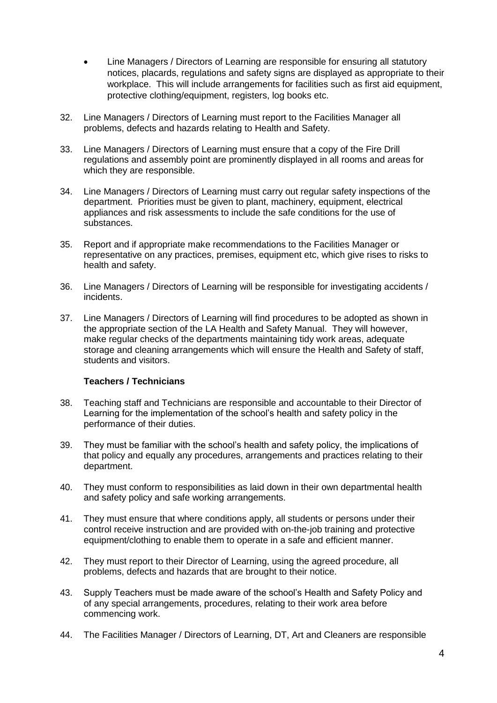- Line Managers / Directors of Learning are responsible for ensuring all statutory notices, placards, regulations and safety signs are displayed as appropriate to their workplace. This will include arrangements for facilities such as first aid equipment, protective clothing/equipment, registers, log books etc.
- 32. Line Managers / Directors of Learning must report to the Facilities Manager all problems, defects and hazards relating to Health and Safety.
- 33. Line Managers / Directors of Learning must ensure that a copy of the Fire Drill regulations and assembly point are prominently displayed in all rooms and areas for which they are responsible.
- 34. Line Managers / Directors of Learning must carry out regular safety inspections of the department. Priorities must be given to plant, machinery, equipment, electrical appliances and risk assessments to include the safe conditions for the use of substances.
- 35. Report and if appropriate make recommendations to the Facilities Manager or representative on any practices, premises, equipment etc, which give rises to risks to health and safety.
- 36. Line Managers / Directors of Learning will be responsible for investigating accidents / incidents.
- 37. Line Managers / Directors of Learning will find procedures to be adopted as shown in the appropriate section of the LA Health and Safety Manual. They will however, make regular checks of the departments maintaining tidy work areas, adequate storage and cleaning arrangements which will ensure the Health and Safety of staff, students and visitors.

## **Teachers / Technicians**

- 38. Teaching staff and Technicians are responsible and accountable to their Director of Learning for the implementation of the school's health and safety policy in the performance of their duties.
- 39. They must be familiar with the school's health and safety policy, the implications of that policy and equally any procedures, arrangements and practices relating to their department.
- 40. They must conform to responsibilities as laid down in their own departmental health and safety policy and safe working arrangements.
- 41. They must ensure that where conditions apply, all students or persons under their control receive instruction and are provided with on-the-job training and protective equipment/clothing to enable them to operate in a safe and efficient manner.
- 42. They must report to their Director of Learning, using the agreed procedure, all problems, defects and hazards that are brought to their notice.
- 43. Supply Teachers must be made aware of the school's Health and Safety Policy and of any special arrangements, procedures, relating to their work area before commencing work.
- 44. The Facilities Manager / Directors of Learning, DT, Art and Cleaners are responsible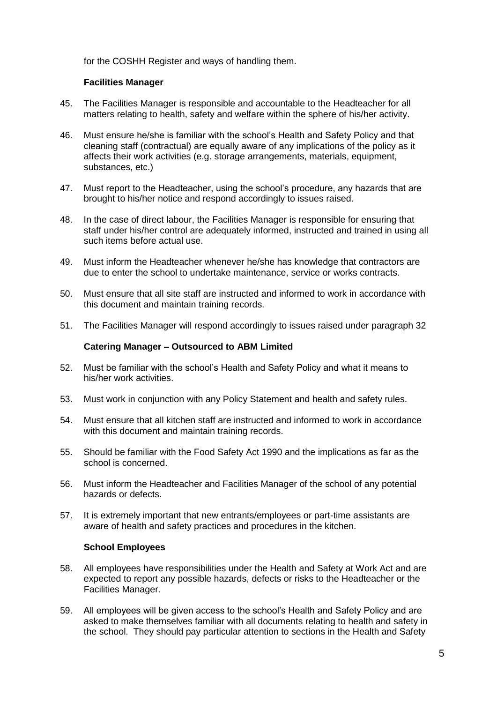for the COSHH Register and ways of handling them.

# **Facilities Manager**

- 45. The Facilities Manager is responsible and accountable to the Headteacher for all matters relating to health, safety and welfare within the sphere of his/her activity.
- 46. Must ensure he/she is familiar with the school's Health and Safety Policy and that cleaning staff (contractual) are equally aware of any implications of the policy as it affects their work activities (e.g. storage arrangements, materials, equipment, substances, etc.)
- 47. Must report to the Headteacher, using the school's procedure, any hazards that are brought to his/her notice and respond accordingly to issues raised.
- 48. In the case of direct labour, the Facilities Manager is responsible for ensuring that staff under his/her control are adequately informed, instructed and trained in using all such items before actual use.
- 49. Must inform the Headteacher whenever he/she has knowledge that contractors are due to enter the school to undertake maintenance, service or works contracts.
- 50. Must ensure that all site staff are instructed and informed to work in accordance with this document and maintain training records.
- 51. The Facilities Manager will respond accordingly to issues raised under paragraph 32

#### **Catering Manager – Outsourced to ABM Limited**

- 52. Must be familiar with the school's Health and Safety Policy and what it means to his/her work activities.
- 53. Must work in conjunction with any Policy Statement and health and safety rules.
- 54. Must ensure that all kitchen staff are instructed and informed to work in accordance with this document and maintain training records.
- 55. Should be familiar with the Food Safety Act 1990 and the implications as far as the school is concerned.
- 56. Must inform the Headteacher and Facilities Manager of the school of any potential hazards or defects.
- 57. It is extremely important that new entrants/employees or part-time assistants are aware of health and safety practices and procedures in the kitchen.

#### **School Employees**

- 58. All employees have responsibilities under the Health and Safety at Work Act and are expected to report any possible hazards, defects or risks to the Headteacher or the Facilities Manager.
- 59. All employees will be given access to the school's Health and Safety Policy and are asked to make themselves familiar with all documents relating to health and safety in the school. They should pay particular attention to sections in the Health and Safety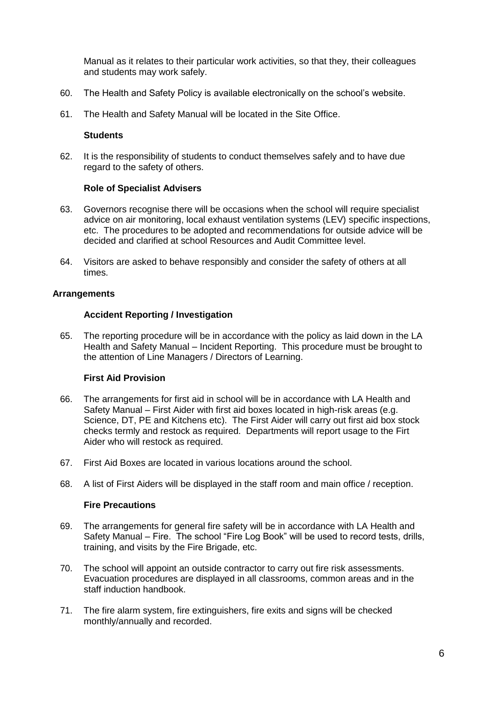Manual as it relates to their particular work activities, so that they, their colleagues and students may work safely.

- 60. The Health and Safety Policy is available electronically on the school's website.
- 61. The Health and Safety Manual will be located in the Site Office.

#### **Students**

62. It is the responsibility of students to conduct themselves safely and to have due regard to the safety of others.

#### **Role of Specialist Advisers**

- 63. Governors recognise there will be occasions when the school will require specialist advice on air monitoring, local exhaust ventilation systems (LEV) specific inspections, etc. The procedures to be adopted and recommendations for outside advice will be decided and clarified at school Resources and Audit Committee level.
- 64. Visitors are asked to behave responsibly and consider the safety of others at all times.

#### **Arrangements**

#### **Accident Reporting / Investigation**

65. The reporting procedure will be in accordance with the policy as laid down in the LA Health and Safety Manual – Incident Reporting. This procedure must be brought to the attention of Line Managers / Directors of Learning.

#### **First Aid Provision**

- 66. The arrangements for first aid in school will be in accordance with LA Health and Safety Manual – First Aider with first aid boxes located in high-risk areas (e.g. Science, DT, PE and Kitchens etc). The First Aider will carry out first aid box stock checks termly and restock as required. Departments will report usage to the Firt Aider who will restock as required.
- 67. First Aid Boxes are located in various locations around the school.
- 68. A list of First Aiders will be displayed in the staff room and main office / reception.

#### **Fire Precautions**

- 69. The arrangements for general fire safety will be in accordance with LA Health and Safety Manual – Fire. The school "Fire Log Book" will be used to record tests, drills, training, and visits by the Fire Brigade, etc.
- 70. The school will appoint an outside contractor to carry out fire risk assessments. Evacuation procedures are displayed in all classrooms, common areas and in the staff induction handbook.
- 71. The fire alarm system, fire extinguishers, fire exits and signs will be checked monthly/annually and recorded.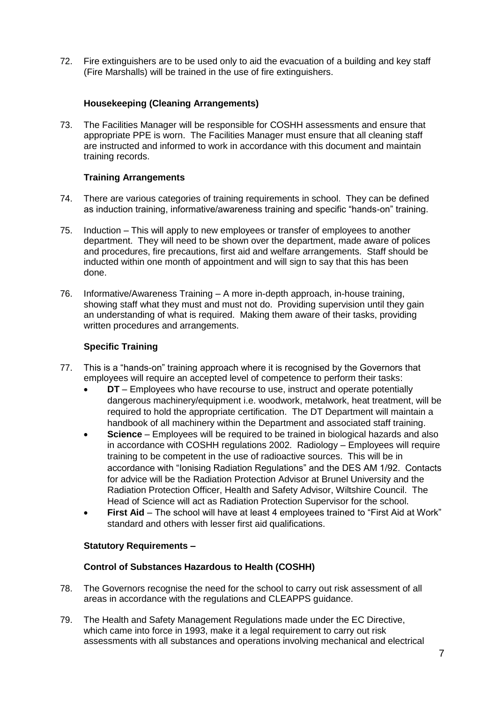72. Fire extinguishers are to be used only to aid the evacuation of a building and key staff (Fire Marshalls) will be trained in the use of fire extinguishers.

# **Housekeeping (Cleaning Arrangements)**

73. The Facilities Manager will be responsible for COSHH assessments and ensure that appropriate PPE is worn. The Facilities Manager must ensure that all cleaning staff are instructed and informed to work in accordance with this document and maintain training records.

# **Training Arrangements**

- 74. There are various categories of training requirements in school. They can be defined as induction training, informative/awareness training and specific "hands-on" training.
- 75. Induction This will apply to new employees or transfer of employees to another department. They will need to be shown over the department, made aware of polices and procedures, fire precautions, first aid and welfare arrangements. Staff should be inducted within one month of appointment and will sign to say that this has been done.
- 76. Informative/Awareness Training A more in-depth approach, in-house training, showing staff what they must and must not do. Providing supervision until they gain an understanding of what is required. Making them aware of their tasks, providing written procedures and arrangements.

# **Specific Training**

- 77. This is a "hands-on" training approach where it is recognised by the Governors that employees will require an accepted level of competence to perform their tasks:
	- **DT** Employees who have recourse to use, instruct and operate potentially dangerous machinery/equipment i.e. woodwork, metalwork, heat treatment, will be required to hold the appropriate certification. The DT Department will maintain a handbook of all machinery within the Department and associated staff training.
	- **Science** Employees will be required to be trained in biological hazards and also in accordance with COSHH regulations 2002. Radiology – Employees will require training to be competent in the use of radioactive sources. This will be in accordance with "Ionising Radiation Regulations" and the DES AM 1/92. Contacts for advice will be the Radiation Protection Advisor at Brunel University and the Radiation Protection Officer, Health and Safety Advisor, Wiltshire Council. The Head of Science will act as Radiation Protection Supervisor for the school.
	- **First Aid** The school will have at least 4 employees trained to "First Aid at Work" standard and others with lesser first aid qualifications.

# **Statutory Requirements –**

## **Control of Substances Hazardous to Health (COSHH)**

- 78. The Governors recognise the need for the school to carry out risk assessment of all areas in accordance with the regulations and CLEAPPS guidance.
- 79. The Health and Safety Management Regulations made under the EC Directive, which came into force in 1993, make it a legal requirement to carry out risk assessments with all substances and operations involving mechanical and electrical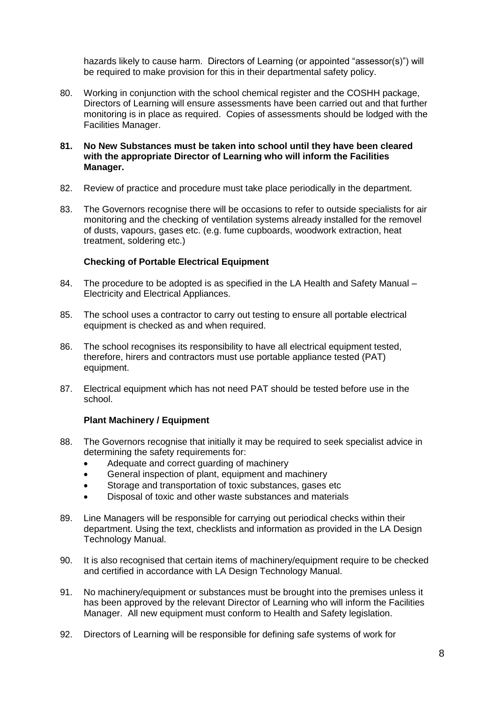hazards likely to cause harm. Directors of Learning (or appointed "assessor(s)") will be required to make provision for this in their departmental safety policy.

80. Working in conjunction with the school chemical register and the COSHH package, Directors of Learning will ensure assessments have been carried out and that further monitoring is in place as required. Copies of assessments should be lodged with the Facilities Manager.

#### **81. No New Substances must be taken into school until they have been cleared with the appropriate Director of Learning who will inform the Facilities Manager.**

- 82. Review of practice and procedure must take place periodically in the department.
- 83. The Governors recognise there will be occasions to refer to outside specialists for air monitoring and the checking of ventilation systems already installed for the removel of dusts, vapours, gases etc. (e.g. fume cupboards, woodwork extraction, heat treatment, soldering etc.)

# **Checking of Portable Electrical Equipment**

- 84. The procedure to be adopted is as specified in the LA Health and Safety Manual Electricity and Electrical Appliances.
- 85. The school uses a contractor to carry out testing to ensure all portable electrical equipment is checked as and when required.
- 86. The school recognises its responsibility to have all electrical equipment tested, therefore, hirers and contractors must use portable appliance tested (PAT) equipment.
- 87. Electrical equipment which has not need PAT should be tested before use in the school.

# **Plant Machinery / Equipment**

- 88. The Governors recognise that initially it may be required to seek specialist advice in determining the safety requirements for:
	- Adequate and correct guarding of machinery
	- General inspection of plant, equipment and machinery
	- Storage and transportation of toxic substances, gases etc
	- Disposal of toxic and other waste substances and materials
- 89. Line Managers will be responsible for carrying out periodical checks within their department. Using the text, checklists and information as provided in the LA Design Technology Manual.
- 90. It is also recognised that certain items of machinery/equipment require to be checked and certified in accordance with LA Design Technology Manual.
- 91. No machinery/equipment or substances must be brought into the premises unless it has been approved by the relevant Director of Learning who will inform the Facilities Manager. All new equipment must conform to Health and Safety legislation.
- 92. Directors of Learning will be responsible for defining safe systems of work for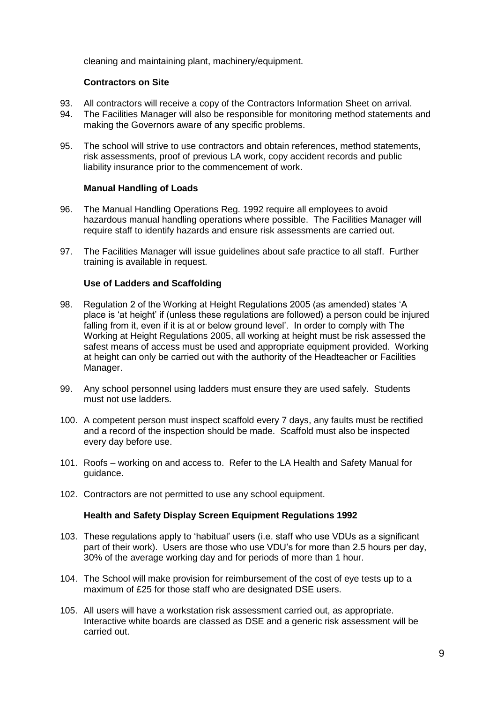cleaning and maintaining plant, machinery/equipment.

## **Contractors on Site**

- 93. All contractors will receive a copy of the Contractors Information Sheet on arrival.<br>94. The Facilities Manager will also be responsible for monitoring method statements
- The Facilities Manager will also be responsible for monitoring method statements and making the Governors aware of any specific problems.
- 95. The school will strive to use contractors and obtain references, method statements, risk assessments, proof of previous LA work, copy accident records and public liability insurance prior to the commencement of work.

## **Manual Handling of Loads**

- 96. The Manual Handling Operations Reg. 1992 require all employees to avoid hazardous manual handling operations where possible. The Facilities Manager will require staff to identify hazards and ensure risk assessments are carried out.
- 97. The Facilities Manager will issue guidelines about safe practice to all staff. Further training is available in request.

## **Use of Ladders and Scaffolding**

- 98. Regulation 2 of the Working at Height Regulations 2005 (as amended) states 'A place is 'at height' if (unless these regulations are followed) a person could be injured falling from it, even if it is at or below ground level'. In order to comply with The Working at Height Regulations 2005, all working at height must be risk assessed the safest means of access must be used and appropriate equipment provided. Working at height can only be carried out with the authority of the Headteacher or Facilities Manager.
- 99. Any school personnel using ladders must ensure they are used safely. Students must not use ladders.
- 100. A competent person must inspect scaffold every 7 days, any faults must be rectified and a record of the inspection should be made. Scaffold must also be inspected every day before use.
- 101. Roofs working on and access to. Refer to the LA Health and Safety Manual for guidance.
- 102. Contractors are not permitted to use any school equipment.

## **Health and Safety Display Screen Equipment Regulations 1992**

- 103. These regulations apply to 'habitual' users (i.e. staff who use VDUs as a significant part of their work). Users are those who use VDU's for more than 2.5 hours per day, 30% of the average working day and for periods of more than 1 hour.
- 104. The School will make provision for reimbursement of the cost of eye tests up to a maximum of £25 for those staff who are designated DSE users.
- 105. All users will have a workstation risk assessment carried out, as appropriate. Interactive white boards are classed as DSE and a generic risk assessment will be carried out.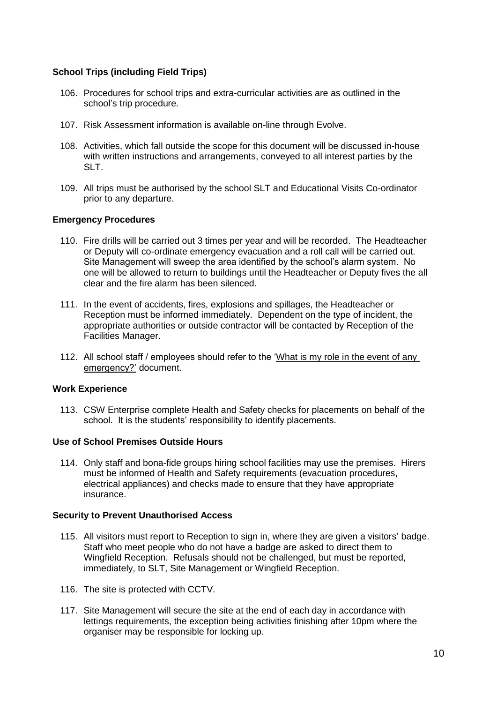## **School Trips (including Field Trips)**

- 106. Procedures for school trips and extra-curricular activities are as outlined in the school's trip procedure.
- 107. Risk Assessment information is available on-line through Evolve.
- 108. Activities, which fall outside the scope for this document will be discussed in-house with written instructions and arrangements, conveyed to all interest parties by the SLT.
- 109. All trips must be authorised by the school SLT and Educational Visits Co-ordinator prior to any departure.

## **Emergency Procedures**

- 110. Fire drills will be carried out 3 times per year and will be recorded. The Headteacher or Deputy will co-ordinate emergency evacuation and a roll call will be carried out. Site Management will sweep the area identified by the school's alarm system. No one will be allowed to return to buildings until the Headteacher or Deputy fives the all clear and the fire alarm has been silenced.
- 111. In the event of accidents, fires, explosions and spillages, the Headteacher or Reception must be informed immediately. Dependent on the type of incident, the appropriate authorities or outside contractor will be contacted by Reception of the Facilities Manager.
- 112. All school staff / employees should refer to the 'What is my role in the event of any emergency?' document.

## **Work Experience**

113. CSW Enterprise complete Health and Safety checks for placements on behalf of the school. It is the students' responsibility to identify placements.

## **Use of School Premises Outside Hours**

114. Only staff and bona-fide groups hiring school facilities may use the premises. Hirers must be informed of Health and Safety requirements (evacuation procedures, electrical appliances) and checks made to ensure that they have appropriate insurance.

## **Security to Prevent Unauthorised Access**

- 115. All visitors must report to Reception to sign in, where they are given a visitors' badge. Staff who meet people who do not have a badge are asked to direct them to Wingfield Reception. Refusals should not be challenged, but must be reported, immediately, to SLT, Site Management or Wingfield Reception.
- 116. The site is protected with CCTV.
- 117. Site Management will secure the site at the end of each day in accordance with lettings requirements, the exception being activities finishing after 10pm where the organiser may be responsible for locking up.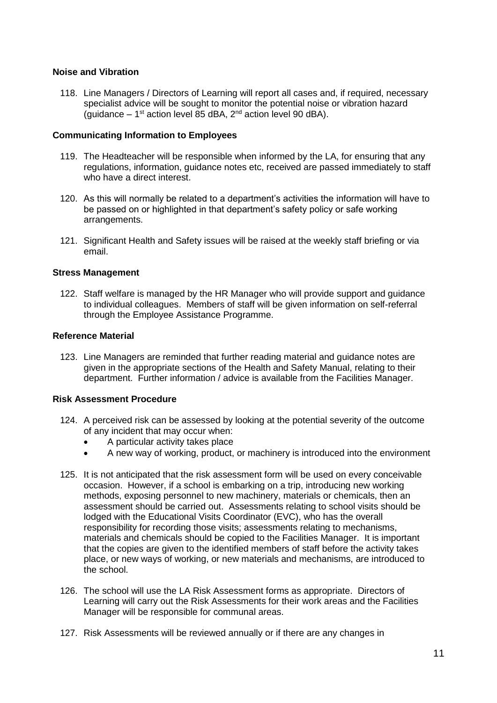## **Noise and Vibration**

118. Line Managers / Directors of Learning will report all cases and, if required, necessary specialist advice will be sought to monitor the potential noise or vibration hazard (guidance  $-1<sup>st</sup>$  action level 85 dBA, 2<sup>nd</sup> action level 90 dBA).

#### **Communicating Information to Employees**

- 119. The Headteacher will be responsible when informed by the LA, for ensuring that any regulations, information, guidance notes etc, received are passed immediately to staff who have a direct interest.
- 120. As this will normally be related to a department's activities the information will have to be passed on or highlighted in that department's safety policy or safe working arrangements.
- 121. Significant Health and Safety issues will be raised at the weekly staff briefing or via email.

#### **Stress Management**

122. Staff welfare is managed by the HR Manager who will provide support and guidance to individual colleagues. Members of staff will be given information on self-referral through the Employee Assistance Programme.

#### **Reference Material**

123. Line Managers are reminded that further reading material and guidance notes are given in the appropriate sections of the Health and Safety Manual, relating to their department. Further information / advice is available from the Facilities Manager.

#### **Risk Assessment Procedure**

- 124. A perceived risk can be assessed by looking at the potential severity of the outcome of any incident that may occur when:
	- A particular activity takes place
	- A new way of working, product, or machinery is introduced into the environment
- 125. It is not anticipated that the risk assessment form will be used on every conceivable occasion. However, if a school is embarking on a trip, introducing new working methods, exposing personnel to new machinery, materials or chemicals, then an assessment should be carried out. Assessments relating to school visits should be lodged with the Educational Visits Coordinator (EVC), who has the overall responsibility for recording those visits; assessments relating to mechanisms, materials and chemicals should be copied to the Facilities Manager. It is important that the copies are given to the identified members of staff before the activity takes place, or new ways of working, or new materials and mechanisms, are introduced to the school.
- 126. The school will use the LA Risk Assessment forms as appropriate. Directors of Learning will carry out the Risk Assessments for their work areas and the Facilities Manager will be responsible for communal areas.
- 127. Risk Assessments will be reviewed annually or if there are any changes in